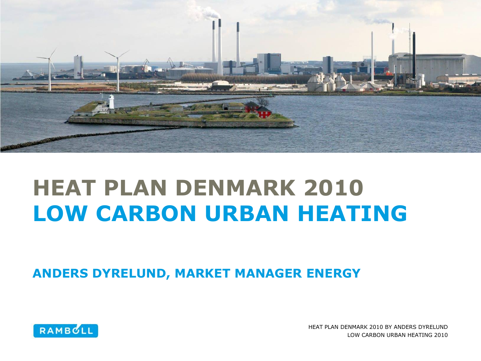

## **HEAT PLAN DENMARK 2010 LOW CARBON URBAN HEATING**

**ANDERS DYRELUND, MARKET MANAGER ENERGY**



HEAT PLAN DENMARK 2010 BY ANDERS DYRELUND LOW CARBON URBAN HEATING 2010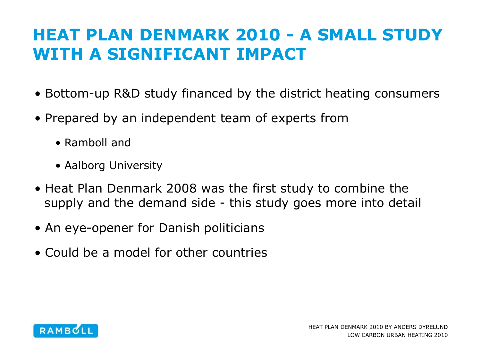## **HEAT PLAN DENMARK 2010 - A SMALL STUDY WITH A SIGNIFICANT IMPACT**

- Bottom-up R&D study financed by the district heating consumers
- Prepared by an independent team of experts from
	- Ramboll and
	- Aalborg University
- Heat Plan Denmark 2008 was the first study to combine the supply and the demand side - this study goes more into detail
- An eye-opener for Danish politicians
- Could be a model for other countries

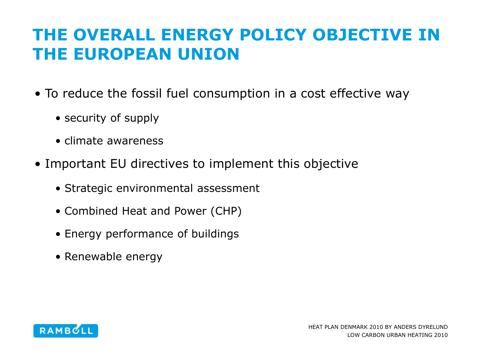### **THE OVERALL ENERGY POLICY OBJECTIVE IN THE EUROPEAN UNION**

- To reduce the fossil fuel consumption in a cost effective way
	- security of supply
	- climate awareness
- Important EU directives to implement this objective
	- Strategic environmental assessment
	- Combined Heat and Power (CHP)
	- Energy performance of buildings
	- Renewable energy

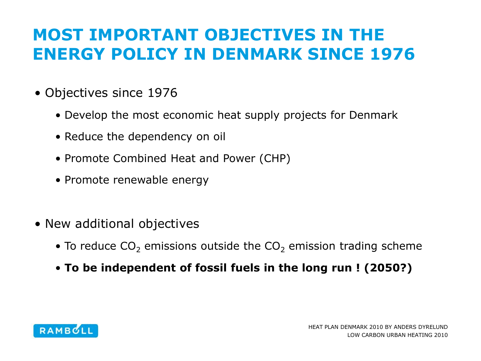## **MOST IMPORTANT OBJECTIVES IN THE ENERGY POLICY IN DENMARK SINCE 1976**

- Objectives since 1976
	- Develop the most economic heat supply projects for Denmark
	- Reduce the dependency on oil
	- Promote Combined Heat and Power (CHP)
	- Promote renewable energy
- New additional objectives
	- To reduce  $CO<sub>2</sub>$  emissions outside the  $CO<sub>2</sub>$  emission trading scheme
	- **To be independent of fossil fuels in the long run ! (2050?)**

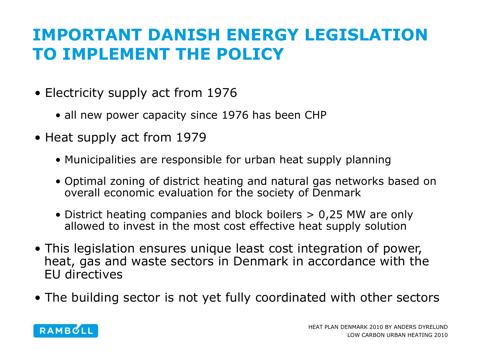## **IMPORTANT DANISH ENERGY LEGISLATION TO IMPLEMENT THE POLICY**

- Electricity supply act from 1976
	- all new power capacity since 1976 has been CHP
- Heat supply act from 1979
	- Municipalities are responsible for urban heat supply planning
	- Optimal zoning of district heating and natural gas networks based on overall economic evaluation for the society of Denmark
	- District heating companies and block boilers > 0,25 MW are only allowed to invest in the most cost effective heat supply solution
- This legislation ensures unique least cost integration of power, heat, gas and waste sectors in Denmark in accordance with the EU directives
- The building sector is not yet fully coordinated with other sectors

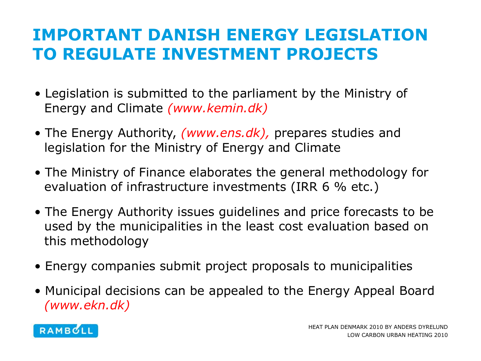## **IMPORTANT DANISH ENERGY LEGISLATION TO REGULATE INVESTMENT PROJECTS**

- Legislation is submitted to the parliament by the Ministry of Energy and Climate *(www.kemin.dk)*
- The Energy Authority, *(www.ens.dk),* prepares studies and legislation for the Ministry of Energy and Climate
- The Ministry of Finance elaborates the general methodology for evaluation of infrastructure investments (IRR 6 % etc.)
- The Energy Authority issues guidelines and price forecasts to be used by the municipalities in the least cost evaluation based on this methodology
- Energy companies submit project proposals to municipalities
- Municipal decisions can be appealed to the Energy Appeal Board *(www.ekn.dk)*

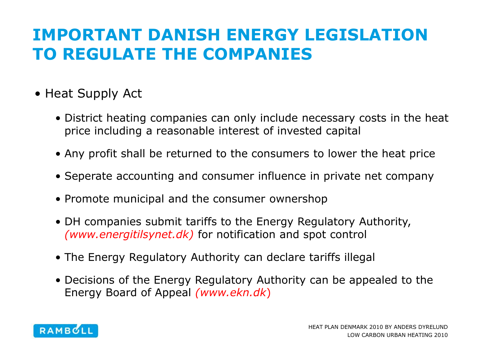## **IMPORTANT DANISH ENERGY LEGISLATION TO REGULATE THE COMPANIES**

- Heat Supply Act
	- District heating companies can only include necessary costs in the heat price including a reasonable interest of invested capital
	- Any profit shall be returned to the consumers to lower the heat price
	- Seperate accounting and consumer influence in private net company
	- Promote municipal and the consumer ownershop
	- DH companies submit tariffs to the Energy Regulatory Authority, *(www.energitilsynet.dk)* for notification and spot control
	- The Energy Regulatory Authority can declare tariffs illegal
	- Decisions of the Energy Regulatory Authority can be appealed to the Energy Board of Appeal *(www.ekn.dk*)

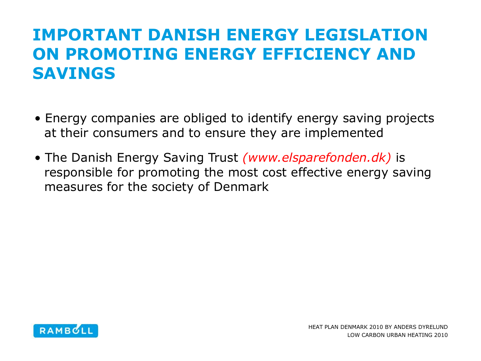## **IMPORTANT DANISH ENERGY LEGISLATION ON PROMOTING ENERGY EFFICIENCY AND SAVINGS**

- Energy companies are obliged to identify energy saving projects at their consumers and to ensure they are implemented
- The Danish Energy Saving Trust *(www.elsparefonden.dk)* is responsible for promoting the most cost effective energy saving measures for the society of Denmark

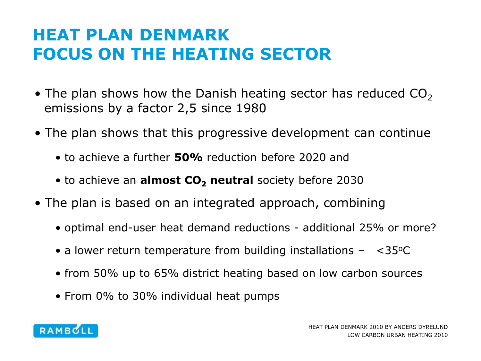## **HEAT PLAN DENMARK FOCUS ON THE HEATING SECTOR**

- The plan shows how the Danish heating sector has reduced  $CO<sub>2</sub>$ emissions by a factor 2,5 since 1980
- The plan shows that this progressive development can continue
	- to achieve a further **50%** reduction before 2020 and
	- to achieve an **almost CO<sub>2</sub> neutral** society before 2030
- The plan is based on an integrated approach, combining
	- optimal end-user heat demand reductions additional 25% or more?
	- a lower return temperature from building installations  $-$  <35 $\degree$ C
	- from 50% up to 65% district heating based on low carbon sources
	- From 0% to 30% individual heat pumps

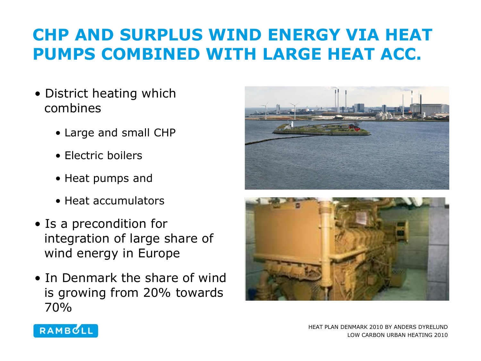## **CHP AND SURPLUS WIND ENERGY VIA HEAT PUMPS COMBINED WITH LARGE HEAT ACC.**

- District heating which combines
	- Large and small CHP
	- Electric boilers
	- Heat pumps and
	- Heat accumulators
- Is a precondition for integration of large share of wind energy in Europe
- In Denmark the share of wind is growing from 20% towards 70%







HEAT PLAN DENMARK 2010 BY ANDERS DYRELUND LOW CARBON URBAN HEATING 2010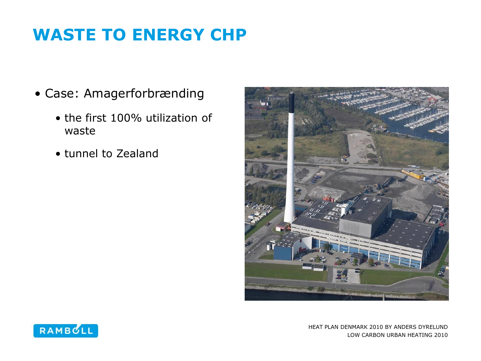## **WASTE TO ENERGY CHP**

- Case: Amagerforbrænding
	- the first 100% utilization of waste
	- tunnel to Zealand



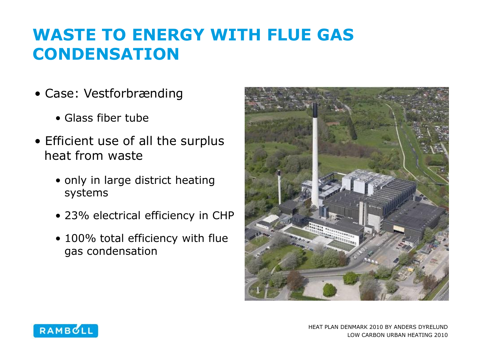## **WASTE TO ENERGY WITH FLUE GAS CONDENSATION**

- Case: Vestforbrænding
	- Glass fiber tube
- Efficient use of all the surplus heat from waste
	- only in large district heating systems
	- 23% electrical efficiency in CHP
	- 100% total efficiency with flue gas condensation



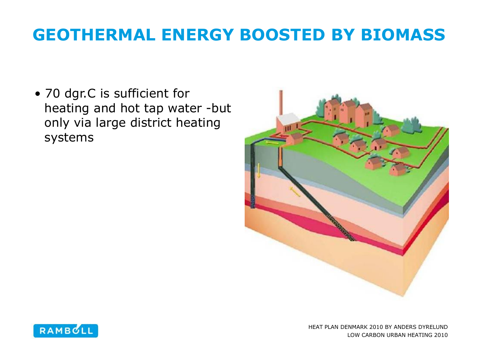## **GEOTHERMAL ENERGY BOOSTED BY BIOMASS**

• 70 dgr.C is sufficient for heating and hot tap water -but only via large district heating systems



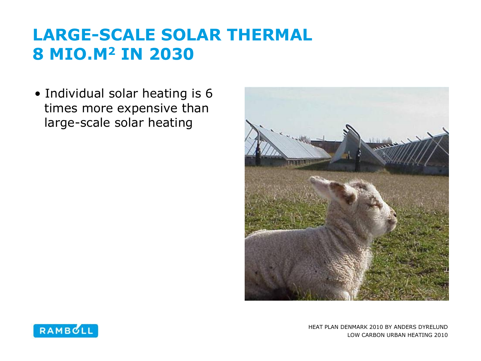## **LARGE-SCALE SOLAR THERMAL 8 MIO.M<sup>2</sup> IN 2030**

• Individual solar heating is 6 times more expensive than large-scale solar heating



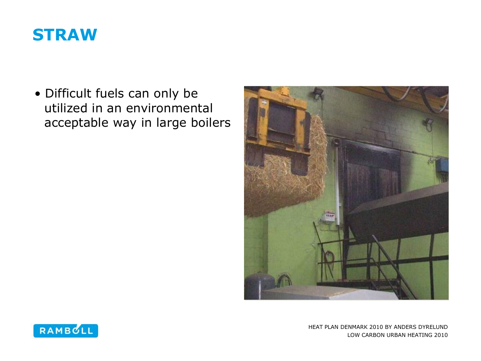#### **STRAW**

• Difficult fuels can only be utilized in an environmental acceptable way in large boilers



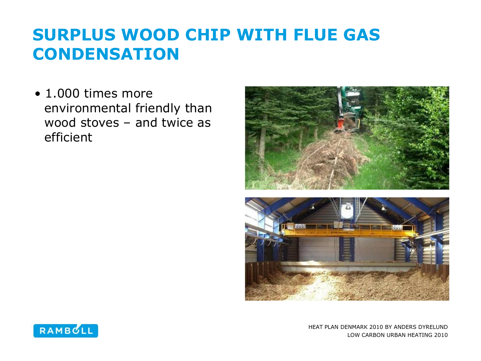## **SURPLUS WOOD CHIP WITH FLUE GAS CONDENSATION**

• 1.000 times more environmental friendly than wood stoves – and twice as efficient



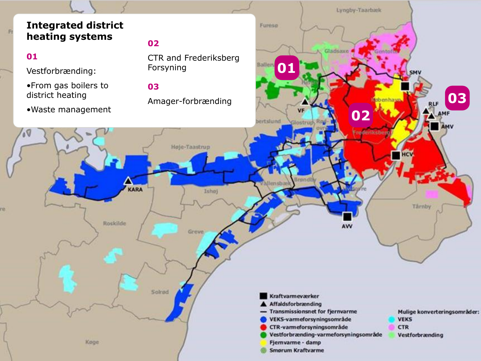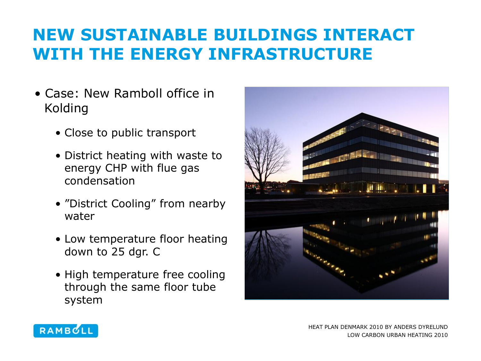## **NEW SUSTAINABLE BUILDINGS INTERACT WITH THE ENERGY INFRASTRUCTURE**

- Case: New Ramboll office in Kolding
	- Close to public transport
	- District heating with waste to energy CHP with flue gas condensation
	- "District Cooling" from nearby water
	- Low temperature floor heating down to 25 dgr. C
	- High temperature free cooling through the same floor tube system





HEAT PLAN DENMARK 2010 BY ANDERS DYRELUND LOW CARBON URBAN HEATING 2010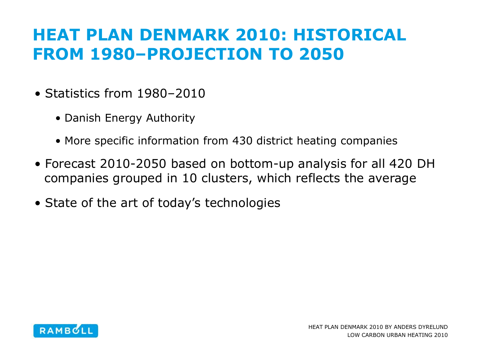## **HEAT PLAN DENMARK 2010: HISTORICAL FROM 1980–PROJECTION TO 2050**

- Statistics from 1980-2010
	- Danish Energy Authority
	- More specific information from 430 district heating companies
- Forecast 2010-2050 based on bottom-up analysis for all 420 DH companies grouped in 10 clusters, which reflects the average
- State of the art of today's technologies

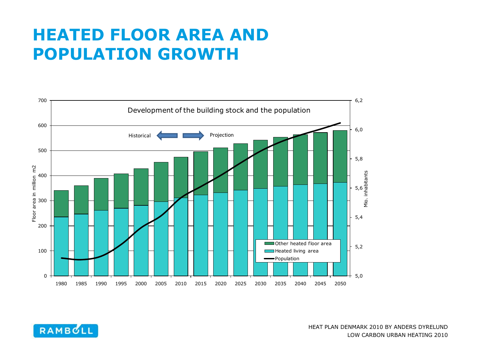#### **HEATED FLOOR AREA AND POPULATION GROWTH**



RAMBULL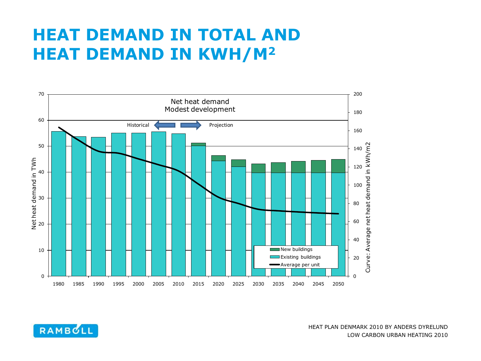#### **HEAT DEMAND IN TOTAL AND HEAT DEMAND IN KWH/M<sup>2</sup>**

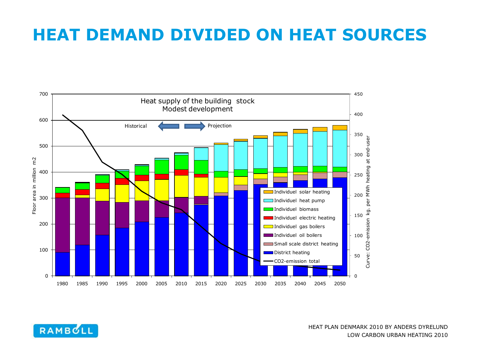#### **HEAT DEMAND DIVIDED ON HEAT SOURCES**



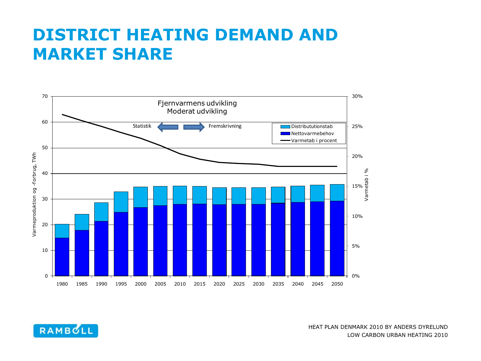#### **DISTRICT HEATING DEMAND AND MARKET SHARE**



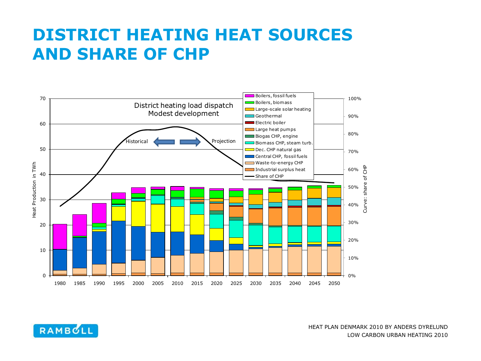#### **DISTRICT HEATING HEAT SOURCES AND SHARE OF CHP**



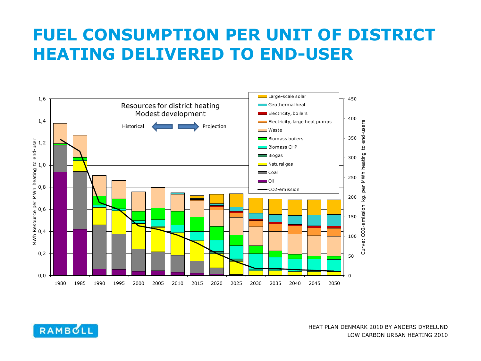#### **FUEL CONSUMPTION PER UNIT OF DISTRICT HEATING DELIVERED TO END-USER**



RAMBULL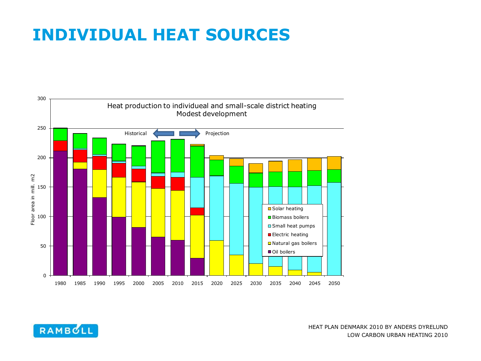#### **INDIVIDUAL HEAT SOURCES**



RAMBOLL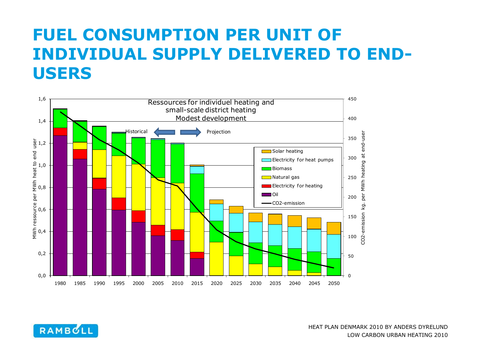### **FUEL CONSUMPTION PER UNIT OF INDIVIDUAL SUPPLY DELIVERED TO END-USERS**



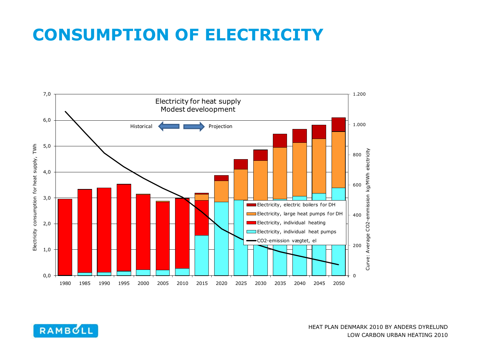#### **CONSUMPTION OF ELECTRICITY**



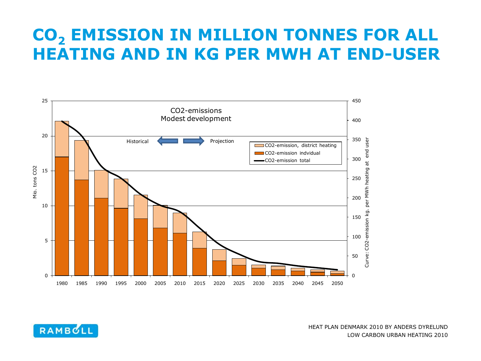#### **CO<sup>2</sup> EMISSION IN MILLION TONNES FOR ALL HEATING AND IN KG PER MWH AT END-USER**



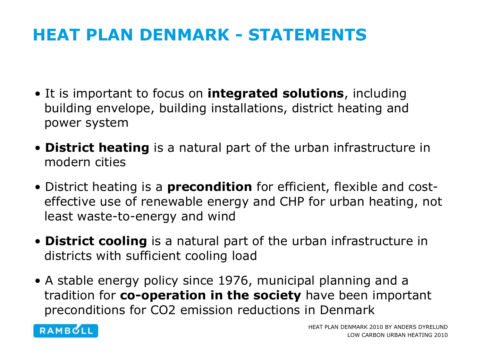### **HEAT PLAN DENMARK - STATEMENTS**

- It is important to focus on **integrated solutions**, including building envelope, building installations, district heating and power system
- **District heating** is a natural part of the urban infrastructure in modern cities
- District heating is a **precondition** for efficient, flexible and costeffective use of renewable energy and CHP for urban heating, not least waste-to-energy and wind
- **District cooling** is a natural part of the urban infrastructure in districts with sufficient cooling load
- A stable energy policy since 1976, municipal planning and a tradition for **co-operation in the society** have been important preconditions for CO2 emission reductions in Denmark

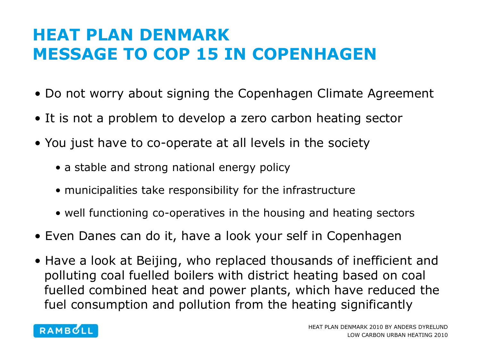## **HEAT PLAN DENMARK MESSAGE TO COP 15 IN COPENHAGEN**

- Do not worry about signing the Copenhagen Climate Agreement
- It is not a problem to develop a zero carbon heating sector
- You just have to co-operate at all levels in the society
	- a stable and strong national energy policy
	- municipalities take responsibility for the infrastructure
	- well functioning co-operatives in the housing and heating sectors
- Even Danes can do it, have a look your self in Copenhagen
- Have a look at Beijing, who replaced thousands of inefficient and polluting coal fuelled boilers with district heating based on coal fuelled combined heat and power plants, which have reduced the fuel consumption and pollution from the heating significantly